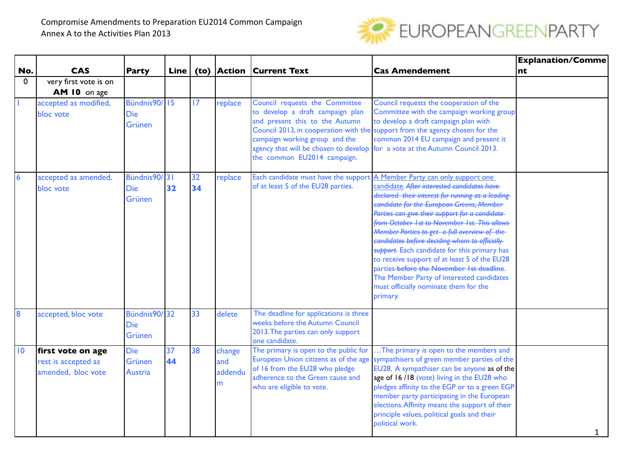

|              |                                                                |                                        |          |          |                               |                                                                                                                                                                                   |                                                                                                                                                                                                                                                                                                                                                                                                                                                                                                                                                                                                                                                                                 | <b>Explanation/Comme</b> |
|--------------|----------------------------------------------------------------|----------------------------------------|----------|----------|-------------------------------|-----------------------------------------------------------------------------------------------------------------------------------------------------------------------------------|---------------------------------------------------------------------------------------------------------------------------------------------------------------------------------------------------------------------------------------------------------------------------------------------------------------------------------------------------------------------------------------------------------------------------------------------------------------------------------------------------------------------------------------------------------------------------------------------------------------------------------------------------------------------------------|--------------------------|
| No.          | <b>CAS</b>                                                     | <b>Party</b>                           | Line     |          |                               | (to) Action Current Text                                                                                                                                                          | <b>Cas Amendement</b>                                                                                                                                                                                                                                                                                                                                                                                                                                                                                                                                                                                                                                                           | nt                       |
| $\mathbf{0}$ | very first vote is on<br>AM 10 on age                          |                                        |          |          |                               |                                                                                                                                                                                   |                                                                                                                                                                                                                                                                                                                                                                                                                                                                                                                                                                                                                                                                                 |                          |
|              | accepted as modified,<br>bloc vote                             | Bündnis90/15<br><b>Die</b><br>Grünen   |          | 17       | replace                       | Council requests the Committee<br>to develop a draft campaign plan<br>and present this to the Autumn<br>campaign working group and the<br>the common EU2014 campaign.             | Council requests the cooperation of the<br>Committee with the campaign working group<br>to develop a draft campaign plan with<br>Council 2013, in cooperation with the support from the agency chosen for the<br>common 2014 EU campaign and present it<br>agency that will be chosen to develop for a vote at the Autumn Council 2013.                                                                                                                                                                                                                                                                                                                                         |                          |
| 6            | accepted as amended,<br>bloc vote                              | Bündnis90/31<br><b>Die</b><br>Grünen   | 32       | 32<br>34 | replace                       | of at least 5 of the EU28 parties.                                                                                                                                                | Each candidate must have the support A Member Party can only support one<br>candidate. After interested candidates have<br>declared their interest for running as a leading-<br>candidate for the European Greens, Member-<br>Parties can give their support for a candidate-<br>from October 1st to November 1st. This allows<br>Member Parties to get a full overview of the<br>candidates before deciding whom to officially-<br>support. Each candidate for this primary has<br>to receive support of at least 5 of the EU28<br>parties-before the November 1st deadline.<br>The Member Party of interested candidates<br>must officially nominate them for the<br>primary. |                          |
| 8            | accepted, bloc vote                                            | Bündnis90/32<br><b>Die</b><br>Grünen   |          | 33       | delete                        | The deadline for applications is three<br>weeks before the Autumn Council<br>2013. The parties can only support<br>one candidate.                                                 |                                                                                                                                                                                                                                                                                                                                                                                                                                                                                                                                                                                                                                                                                 |                          |
| 10           | first vote on age<br>rest is accepted as<br>amended, bloc vote | <b>Die</b><br>Grünen<br><b>Austria</b> | 37<br>44 | 38       | change<br>and<br>addendu<br>m | The primary is open to the public for<br>European Union citizens as of the age<br>of 16 from the EU28 who pledge<br>adherence to the Green cause and<br>who are eligible to vote. | The primary is open to the members and<br>sympathisers of green member parties of the<br>EU28. A sympathiser can be anyone as of the<br>age of 16/18 (vote) living in the EU28 who<br>pledges affinity to the EGP or to a green EGP<br>member party participating in the European<br>elections. Affinity means the support of their<br>principle values, political goals and their<br>political work.                                                                                                                                                                                                                                                                           | 1                        |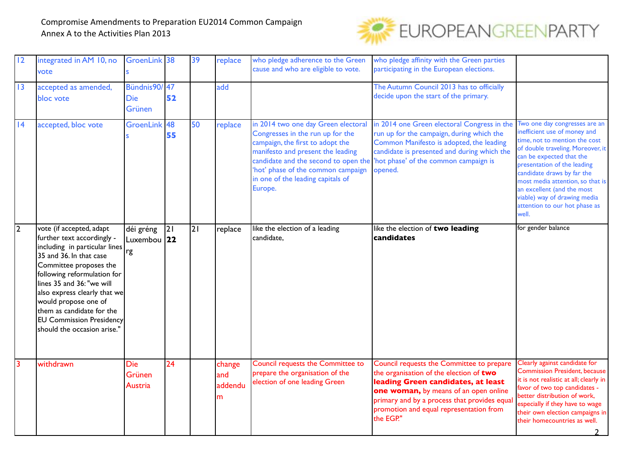

| 12             | integrated in AM 10, no<br>vote                                                                                                                                                                                                                                                                                                                                 | GroenLink 38                           |    | 39 | replace                       | who pledge adherence to the Green<br>cause and who are eligible to vote.                                                                                                                                                               | who pledge affinity with the Green parties<br>participating in the European elections.                                                                                                                                                                                       |                                                                                                                                                                                                                                                                                                                                                                          |
|----------------|-----------------------------------------------------------------------------------------------------------------------------------------------------------------------------------------------------------------------------------------------------------------------------------------------------------------------------------------------------------------|----------------------------------------|----|----|-------------------------------|----------------------------------------------------------------------------------------------------------------------------------------------------------------------------------------------------------------------------------------|------------------------------------------------------------------------------------------------------------------------------------------------------------------------------------------------------------------------------------------------------------------------------|--------------------------------------------------------------------------------------------------------------------------------------------------------------------------------------------------------------------------------------------------------------------------------------------------------------------------------------------------------------------------|
| 13             | accepted as amended,<br>bloc vote                                                                                                                                                                                                                                                                                                                               | Bündnis90/47<br><b>Die</b><br>Grünen   | 52 |    | add                           |                                                                                                                                                                                                                                        | The Autumn Council 2013 has to officially<br>decide upon the start of the primary.                                                                                                                                                                                           |                                                                                                                                                                                                                                                                                                                                                                          |
| 4              | accepted, bloc vote                                                                                                                                                                                                                                                                                                                                             | GroenLink 48                           | 55 | 50 | replace                       | in 2014 two one day Green electoral<br>Congresses in the run up for the<br>campaign, the first to adopt the<br>manifesto and present the leading<br>'hot' phase of the common campaign<br>in one of the leading capitals of<br>Europe. | in 2014 one Green electoral Congress in the<br>run up for the campaign, during which the<br>Common Manifesto is adopted, the leading<br>candidate is presented and during which the<br>candidate and the second to open the 'hot phase' of the common campaign is<br>opened. | Two one day congresses are an<br>inefficient use of money and<br>time, not to mention the cost<br>of double traveling. Moreover, it<br>can be expected that the<br>presentation of the leading<br>candidate draws by far the<br>most media attention, so that is<br>an excellent (and the most<br>viable) way of drawing media<br>attention to our hot phase as<br>well. |
| 2              | vote (if accepted, adapt<br>further text accordingly -<br>including in particular lines<br>35 and 36. In that case<br>Committee proposes the<br>following reformulation for<br>lines 35 and 36: "we will<br>also express clearly that we<br>would propose one of<br>them as candidate for the<br><b>EU Commission Presidency</b><br>should the occasion arise." | déi gréng<br>$ $ Luxembou $ 22 $<br>rg | 2  | 21 | replace                       | like the election of a leading<br>candidate,                                                                                                                                                                                           | like the election of two leading<br>candidates                                                                                                                                                                                                                               | for gender balance                                                                                                                                                                                                                                                                                                                                                       |
| $\overline{3}$ | withdrawn                                                                                                                                                                                                                                                                                                                                                       | <b>Die</b><br>Grünen<br>Austria        | 24 |    | change<br>and<br>addendu<br>m | Council requests the Committee to<br>prepare the organisation of the<br>election of one leading Green                                                                                                                                  | Council requests the Committee to prepare<br>the organisation of the election of two<br>leading Green candidates, at least<br>one woman, by means of an open online<br>primary and by a process that provides equal<br>promotion and equal representation from<br>the EGP."  | Clearly against candidate for<br><b>Commission President, because</b><br>it is not realistic at all; clearly in<br>favor of two top candidates -<br>better distribution of work,<br>especially if they have to wage<br>their own election campaigns in<br>their homecountries as well.                                                                                   |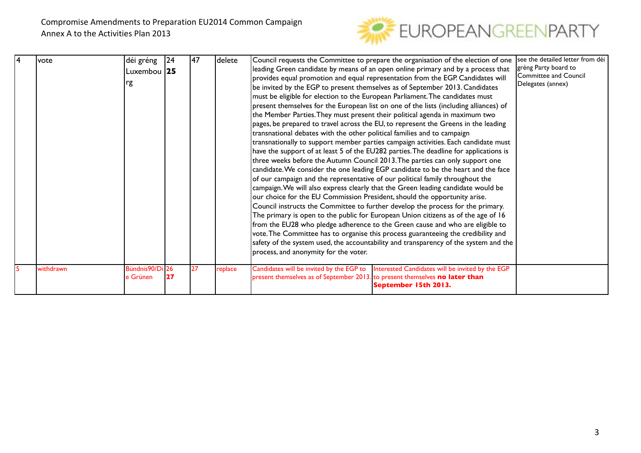

| lvote     | déi gréng       | 24              | 147 | delete  | Council requests the Committee to prepare the organisation of the election of one                                                                                            | Isee the detailed letter from déi |
|-----------|-----------------|-----------------|-----|---------|------------------------------------------------------------------------------------------------------------------------------------------------------------------------------|-----------------------------------|
|           | Luxembou 25     |                 |     |         | leading Green candidate by means of an open online primary and by a process that                                                                                             | gréng Party board to              |
|           |                 |                 |     |         | provides equal promotion and equal representation from the EGP. Candidates will                                                                                              | <b>Committee and Council</b>      |
|           | rg              |                 |     |         | be invited by the EGP to present themselves as of September 2013. Candidates                                                                                                 | Delegates (annex)                 |
|           |                 |                 |     |         | must be eligible for election to the European Parliament. The candidates must                                                                                                |                                   |
|           |                 |                 |     |         | present themselves for the European list on one of the lists (including alliances) of                                                                                        |                                   |
|           |                 |                 |     |         | the Member Parties. They must present their political agenda in maximum two                                                                                                  |                                   |
|           |                 |                 |     |         | pages, be prepared to travel across the EU, to represent the Greens in the leading                                                                                           |                                   |
|           |                 |                 |     |         | transnational debates with the other political families and to campaign                                                                                                      |                                   |
|           |                 |                 |     |         | $ $ transnationally to support member parties campaign activities. Each candidate must                                                                                       |                                   |
|           |                 |                 |     |         | have the support of at least 5 of the EU282 parties. The deadline for applications is                                                                                        |                                   |
|           |                 |                 |     |         | three weeks before the Autumn Council 2013. The parties can only support one                                                                                                 |                                   |
|           |                 |                 |     |         | candidate. We consider the one leading EGP candidate to be the heart and the face                                                                                            |                                   |
|           |                 |                 |     |         | of our campaign and the representative of our political family throughout the                                                                                                |                                   |
|           |                 |                 |     |         | campaign. We will also express clearly that the Green leading candidate would be                                                                                             |                                   |
|           |                 |                 |     |         | our choice for the EU Commission President, should the opportunity arise.                                                                                                    |                                   |
|           |                 |                 |     |         | Council instructs the Committee to further develop the process for the primary.                                                                                              |                                   |
|           |                 |                 |     |         | The primary is open to the public for European Union citizens as of the age of 16                                                                                            |                                   |
|           |                 |                 |     |         | from the EU28 who pledge adherence to the Green cause and who are eligible to                                                                                                |                                   |
|           |                 |                 |     |         | vote. The Committee has to organise this process guaranteeing the credibility and                                                                                            |                                   |
|           |                 |                 |     |         | safety of the system used, the accountability and transparency of the system and the                                                                                         |                                   |
|           |                 |                 |     |         | process, and anonymity for the voter.                                                                                                                                        |                                   |
|           | Bündnis90/Di 26 |                 | 27  |         |                                                                                                                                                                              |                                   |
| withdrawn | e Grünen        | $\overline{27}$ |     | replace | Interested Candidates will be invited by the EGP<br>Candidates will be invited by the EGP to<br>present themselves as of September 2013. to present themselves no later than |                                   |
|           |                 |                 |     |         | September 15th 2013.                                                                                                                                                         |                                   |
|           |                 |                 |     |         |                                                                                                                                                                              |                                   |